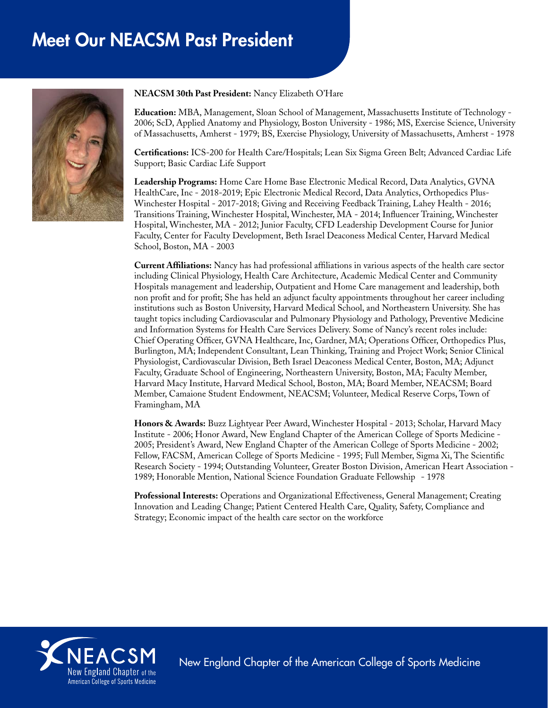# Meet Our NEACSM Past President



**NEACSM 30th Past President:** Nancy Elizabeth O'Hare

**Education:** MBA, Management, Sloan School of Management, Massachusetts Institute of Technology - 2006; ScD, Applied Anatomy and Physiology, Boston University - 1986; MS, Exercise Science, University of Massachusetts, Amherst - 1979; BS, Exercise Physiology, University of Massachusetts, Amherst - 1978

**Certifications:** ICS-200 for Health Care/Hospitals; Lean Six Sigma Green Belt; Advanced Cardiac Life Support; Basic Cardiac Life Support

**Leadership Programs:** Home Care Home Base Electronic Medical Record, Data Analytics, GVNA HealthCare, Inc - 2018-2019; Epic Electronic Medical Record, Data Analytics, Orthopedics Plus-Winchester Hospital - 2017-2018; Giving and Receiving Feedback Training, Lahey Health - 2016; Transitions Training, Winchester Hospital, Winchester, MA - 2014; Influencer Training, Winchester Hospital, Winchester, MA - 2012; Junior Faculty, CFD Leadership Development Course for Junior Faculty, Center for Faculty Development, Beth Israel Deaconess Medical Center, Harvard Medical School, Boston, MA - 2003

**Current Affiliations:** Nancy has had professional affiliations in various aspects of the health care sector including Clinical Physiology, Health Care Architecture, Academic Medical Center and Community Hospitals management and leadership, Outpatient and Home Care management and leadership, both non profit and for profit; She has held an adjunct faculty appointments throughout her career including institutions such as Boston University, Harvard Medical School, and Northeastern University. She has taught topics including Cardiovascular and Pulmonary Physiology and Pathology, Preventive Medicine and Information Systems for Health Care Services Delivery. Some of Nancy's recent roles include: Chief Operating Officer, GVNA Healthcare, Inc, Gardner, MA; Operations Officer, Orthopedics Plus, Burlington, MA; Independent Consultant, Lean Thinking, Training and Project Work; Senior Clinical Physiologist, Cardiovascular Division, Beth Israel Deaconess Medical Center, Boston, MA; Adjunct Faculty, Graduate School of Engineering, Northeastern University, Boston, MA; Faculty Member, Harvard Macy Institute, Harvard Medical School, Boston, MA; Board Member, NEACSM; Board Member, Camaione Student Endowment, NEACSM; Volunteer, Medical Reserve Corps, Town of Framingham, MA

**Honors & Awards:** Buzz Lightyear Peer Award, Winchester Hospital - 2013; Scholar, Harvard Macy Institute - 2006; Honor Award, New England Chapter of the American College of Sports Medicine - 2005; President's Award, New England Chapter of the American College of Sports Medicine - 2002; Fellow, FACSM, American College of Sports Medicine - 1995; Full Member, Sigma Xi, The Scientific Research Society - 1994; Outstanding Volunteer, Greater Boston Division, American Heart Association - 1989; Honorable Mention, National Science Foundation Graduate Fellowship - 1978

**Professional Interests:** Operations and Organizational Effectiveness, General Management; Creating Innovation and Leading Change; Patient Centered Health Care, Quality, Safety, Compliance and Strategy; Economic impact of the health care sector on the workforce



New England Chapter of the American College of Sports Medicine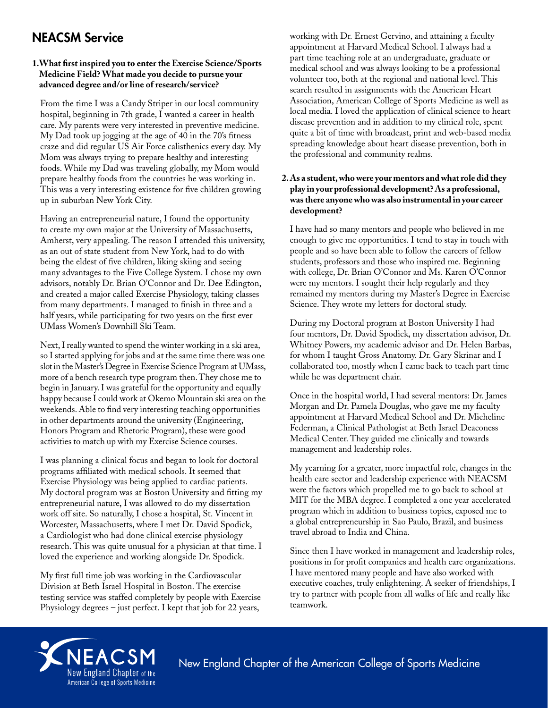# NEACSM Service

# **1.What first inspired you to enter the Exercise Science/Sports Medicine Field? What made you decide to pursue your advanced degree and/or line of research/service?**

From the time I was a Candy Striper in our local community hospital, beginning in 7th grade, I wanted a career in health care. My parents were very interested in preventive medicine. My Dad took up jogging at the age of 40 in the 70's fitness craze and did regular US Air Force calisthenics every day. My Mom was always trying to prepare healthy and interesting foods. While my Dad was traveling globally, my Mom would prepare healthy foods from the countries he was working in. This was a very interesting existence for five children growing up in suburban New York City.

Having an entrepreneurial nature, I found the opportunity to create my own major at the University of Massachusetts, Amherst, very appealing. The reason I attended this university, as an out of state student from New York, had to do with being the eldest of five children, liking skiing and seeing many advantages to the Five College System. I chose my own advisors, notably Dr. Brian O'Connor and Dr. Dee Edington, and created a major called Exercise Physiology, taking classes from many departments. I managed to finish in three and a half years, while participating for two years on the first ever UMass Women's Downhill Ski Team.

Next, I really wanted to spend the winter working in a ski area, so I started applying for jobs and at the same time there was one slot in the Master's Degree in Exercise Science Program at UMass, more of a bench research type program then. They chose me to begin in January. I was grateful for the opportunity and equally happy because I could work at Okemo Mountain ski area on the weekends. Able to find very interesting teaching opportunities in other departments around the university (Engineering, Honors Program and Rhetoric Program), these were good activities to match up with my Exercise Science courses.

I was planning a clinical focus and began to look for doctoral programs affiliated with medical schools. It seemed that Exercise Physiology was being applied to cardiac patients. My doctoral program was at Boston University and fitting my entrepreneurial nature, I was allowed to do my dissertation work off site. So naturally, I chose a hospital, St. Vincent in Worcester, Massachusetts, where I met Dr. David Spodick, a Cardiologist who had done clinical exercise physiology research. This was quite unusual for a physician at that time. I loved the experience and working alongside Dr. Spodick.

My first full time job was working in the Cardiovascular Division at Beth Israel Hospital in Boston. The exercise testing service was staffed completely by people with Exercise Physiology degrees – just perfect. I kept that job for 22 years,

working with Dr. Ernest Gervino, and attaining a faculty appointment at Harvard Medical School. I always had a part time teaching role at an undergraduate, graduate or medical school and was always looking to be a professional volunteer too, both at the regional and national level. This search resulted in assignments with the American Heart Association, American College of Sports Medicine as well as local media. I loved the application of clinical science to heart disease prevention and in addition to my clinical role, spent quite a bit of time with broadcast, print and web-based media spreading knowledge about heart disease prevention, both in the professional and community realms.

#### **2. As a student, who were your mentors and what role did they play in your professional development? As a professional, was there anyone who was also instrumental in your career development?**

I have had so many mentors and people who believed in me enough to give me opportunities. I tend to stay in touch with people and so have been able to follow the careers of fellow students, professors and those who inspired me. Beginning with college, Dr. Brian O'Connor and Ms. Karen O'Connor were my mentors. I sought their help regularly and they remained my mentors during my Master's Degree in Exercise Science. They wrote my letters for doctoral study.

During my Doctoral program at Boston University I had four mentors, Dr. David Spodick, my dissertation advisor, Dr. Whitney Powers, my academic advisor and Dr. Helen Barbas, for whom I taught Gross Anatomy. Dr. Gary Skrinar and I collaborated too, mostly when I came back to teach part time while he was department chair.

Once in the hospital world, I had several mentors: Dr. James Morgan and Dr. Pamela Douglas, who gave me my faculty appointment at Harvard Medical School and Dr. Micheline Federman, a Clinical Pathologist at Beth Israel Deaconess Medical Center. They guided me clinically and towards management and leadership roles.

My yearning for a greater, more impactful role, changes in the health care sector and leadership experience with NEACSM were the factors which propelled me to go back to school at MIT for the MBA degree. I completed a one year accelerated program which in addition to business topics, exposed me to a global entrepreneurship in Sao Paulo, Brazil, and business travel abroad to India and China.

Since then I have worked in management and leadership roles, positions in for profit companies and health care organizations. I have mentored many people and have also worked with executive coaches, truly enlightening. A seeker of friendships, I try to partner with people from all walks of life and really like teamwork.



New England Chapter of the American College of Sports Medicine New England Chapter of the American College of Sports Medicine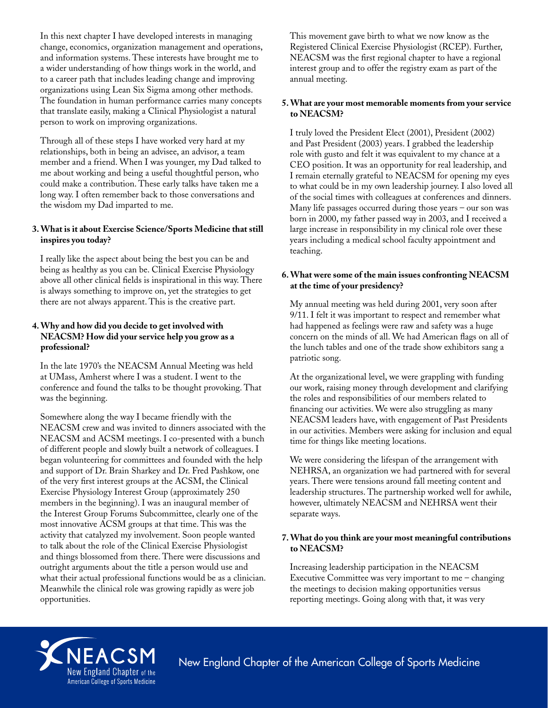In this next chapter I have developed interests in managing change, economics, organization management and operations, and information systems. These interests have brought me to a wider understanding of how things work in the world, and to a career path that includes leading change and improving organizations using Lean Six Sigma among other methods. The foundation in human performance carries many concepts that translate easily, making a Clinical Physiologist a natural person to work on improving organizations.

Through all of these steps I have worked very hard at my relationships, both in being an advisee, an advisor, a team member and a friend. When I was younger, my Dad talked to me about working and being a useful thoughtful person, who could make a contribution. These early talks have taken me a long way. I often remember back to those conversations and the wisdom my Dad imparted to me.

# **3. What is it about Exercise Science/Sports Medicine that still inspires you today?**

I really like the aspect about being the best you can be and being as healthy as you can be. Clinical Exercise Physiology above all other clinical fields is inspirational in this way. There is always something to improve on, yet the strategies to get there are not always apparent. This is the creative part.

# **4. Why and how did you decide to get involved with NEACSM? How did your service help you grow as a professional?**

In the late 1970's the NEACSM Annual Meeting was held at UMass, Amherst where I was a student. I went to the conference and found the talks to be thought provoking. That was the beginning.

Somewhere along the way I became friendly with the NEACSM crew and was invited to dinners associated with the NEACSM and ACSM meetings. I co-presented with a bunch of different people and slowly built a network of colleagues. I began volunteering for committees and founded with the help and support of Dr. Brain Sharkey and Dr. Fred Pashkow, one of the very first interest groups at the ACSM, the Clinical Exercise Physiology Interest Group (approximately 250 members in the beginning). I was an inaugural member of the Interest Group Forums Subcommittee, clearly one of the most innovative ACSM groups at that time. This was the activity that catalyzed my involvement. Soon people wanted to talk about the role of the Clinical Exercise Physiologist and things blossomed from there. There were discussions and outright arguments about the title a person would use and what their actual professional functions would be as a clinician. Meanwhile the clinical role was growing rapidly as were job opportunities.

This movement gave birth to what we now know as the Registered Clinical Exercise Physiologist (RCEP). Further, NEACSM was the first regional chapter to have a regional interest group and to offer the registry exam as part of the annual meeting.

#### **5. What are your most memorable moments from your service to NEACSM?**

I truly loved the President Elect (2001), President (2002) and Past President (2003) years. I grabbed the leadership role with gusto and felt it was equivalent to my chance at a CEO position. It was an opportunity for real leadership, and I remain eternally grateful to NEACSM for opening my eyes to what could be in my own leadership journey. I also loved all of the social times with colleagues at conferences and dinners. Many life passages occurred during those years – our son was born in 2000, my father passed way in 2003, and I received a large increase in responsibility in my clinical role over these years including a medical school faculty appointment and teaching.

# **6. What were some of the main issues confronting NEACSM at the time of your presidency?**

My annual meeting was held during 2001, very soon after 9/11. I felt it was important to respect and remember what had happened as feelings were raw and safety was a huge concern on the minds of all. We had American flags on all of the lunch tables and one of the trade show exhibitors sang a patriotic song.

At the organizational level, we were grappling with funding our work, raising money through development and clarifying the roles and responsibilities of our members related to financing our activities. We were also struggling as many NEACSM leaders have, with engagement of Past Presidents in our activities. Members were asking for inclusion and equal time for things like meeting locations.

We were considering the lifespan of the arrangement with NEHRSA, an organization we had partnered with for several years. There were tensions around fall meeting content and leadership structures. The partnership worked well for awhile, however, ultimately NEACSM and NEHRSA went their separate ways.

#### **7. What do you think are your most meaningful contributions to NEACSM?**

Increasing leadership participation in the NEACSM Executive Committee was very important to me – changing the meetings to decision making opportunities versus reporting meetings. Going along with that, it was very



New England Chapter of the American College of Sports Medicine